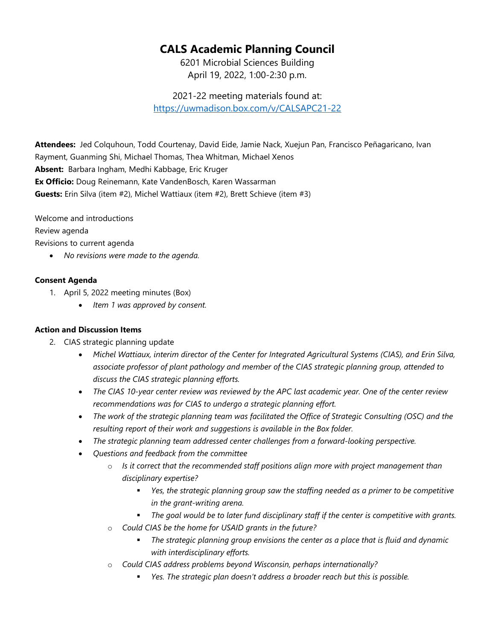## **CALS Academic Planning Council**

6201 Microbial Sciences Building April 19, 2022, 1:00-2:30 p.m.

2021-22 meeting materials found at: <https://uwmadison.box.com/v/CALSAPC21-22>

**Attendees:** Jed Colquhoun, Todd Courtenay, David Eide, Jamie Nack, Xuejun Pan, Francisco Peñagaricano, Ivan Rayment, Guanming Shi, Michael Thomas, Thea Whitman, Michael Xenos **Absent:** Barbara Ingham, Medhi Kabbage, Eric Kruger **Ex Officio:** Doug Reinemann, Kate VandenBosch, Karen Wassarman **Guests:** Erin Silva (item #2), Michel Wattiaux (item #2), Brett Schieve (item #3)

Welcome and introductions

Review agenda

Revisions to current agenda

• *No revisions were made to the agenda.*

## **Consent Agenda**

- 1. April 5, 2022 meeting minutes (Box)
	- *Item 1 was approved by consent.*

## **Action and Discussion Items**

- 2. CIAS strategic planning update
	- *Michel Wattiaux, interim director of the Center for Integrated Agricultural Systems (CIAS), and Erin Silva, associate professor of plant pathology and member of the CIAS strategic planning group, attended to discuss the CIAS strategic planning efforts.*
	- *The CIAS 10-year center review was reviewed by the APC last academic year. One of the center review recommendations was for CIAS to undergo a strategic planning effort.*
	- *The work of the strategic planning team was facilitated the Office of Strategic Consulting (OSC) and the resulting report of their work and suggestions is available in the Box folder.*
	- *The strategic planning team addressed center challenges from a forward-looking perspective.*
	- *Questions and feedback from the committee*
		- o *Is it correct that the recommended staff positions align more with project management than disciplinary expertise?*
			- *Yes, the strategic planning group saw the staffing needed as a primer to be competitive in the grant-writing arena.*
			- *The goal would be to later fund disciplinary staff if the center is competitive with grants.*
		- o *Could CIAS be the home for USAID grants in the future?*
			- *The strategic planning group envisions the center as a place that is fluid and dynamic with interdisciplinary efforts.*
		- o *Could CIAS address problems beyond Wisconsin, perhaps internationally?*
			- *Yes. The strategic plan doesn't address a broader reach but this is possible.*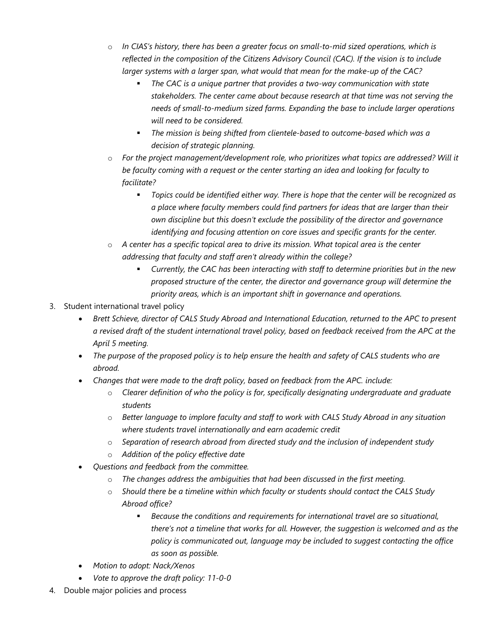- o *In CIAS's history, there has been a greater focus on small-to-mid sized operations, which is reflected in the composition of the Citizens Advisory Council (CAC). If the vision is to include larger systems with a larger span, what would that mean for the make-up of the CAC?*
	- *The CAC is a unique partner that provides a two-way communication with state stakeholders. The center came about because research at that time was not serving the needs of small-to-medium sized farms. Expanding the base to include larger operations will need to be considered.*
	- *The mission is being shifted from clientele-based to outcome-based which was a decision of strategic planning.*
- o *For the project management/development role, who prioritizes what topics are addressed? Will it be faculty coming with a request or the center starting an idea and looking for faculty to facilitate?*
	- *Topics could be identified either way. There is hope that the center will be recognized as a place where faculty members could find partners for ideas that are larger than their own discipline but this doesn't exclude the possibility of the director and governance identifying and focusing attention on core issues and specific grants for the center.*
- o *A center has a specific topical area to drive its mission. What topical area is the center addressing that faculty and staff aren't already within the college?*
	- *Currently, the CAC has been interacting with staff to determine priorities but in the new proposed structure of the center, the director and governance group will determine the priority areas, which is an important shift in governance and operations.*
- 3. Student international travel policy
	- *Brett Schieve, director of CALS Study Abroad and International Education, returned to the APC to present a revised draft of the student international travel policy, based on feedback received from the APC at the April 5 meeting.*
	- *The purpose of the proposed policy is to help ensure the health and safety of CALS students who are abroad.*
	- *Changes that were made to the draft policy, based on feedback from the APC. include:*
		- o *Clearer definition of who the policy is for, specifically designating undergraduate and graduate students*
		- o *Better language to implore faculty and staff to work with CALS Study Abroad in any situation where students travel internationally and earn academic credit*
		- o *Separation of research abroad from directed study and the inclusion of independent study*
		- o *Addition of the policy effective date*
	- *Questions and feedback from the committee.*
		- o *The changes address the ambiguities that had been discussed in the first meeting.*
		- o *Should there be a timeline within which faculty or students should contact the CALS Study Abroad office?*
			- *Because the conditions and requirements for international travel are so situational, there's not a timeline that works for all. However, the suggestion is welcomed and as the policy is communicated out, language may be included to suggest contacting the office as soon as possible.*
	- *Motion to adopt: Nack/Xenos*
	- *Vote to approve the draft policy: 11-0-0*
- 4. Double major policies and process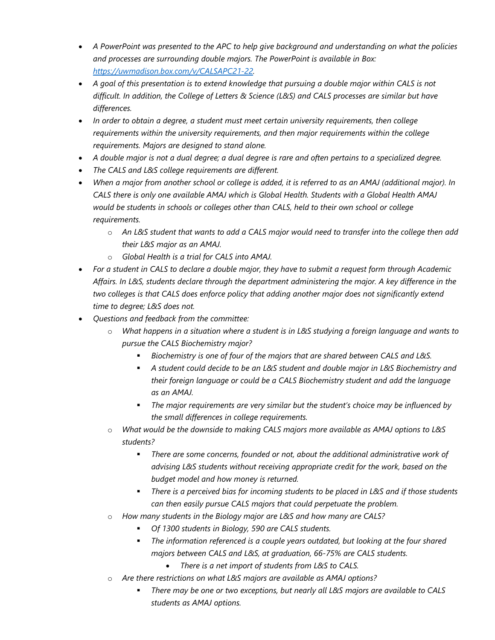- *A PowerPoint was presented to the APC to help give background and understanding on what the policies and processes are surrounding double majors. The PowerPoint is available in Box: [https://uwmadison.box.com/v/CALSAPC21-22.](https://uwmadison.box.com/v/CALSAPC21-22)*
- *A goal of this presentation is to extend knowledge that pursuing a double major within CALS is not difficult. In addition, the College of Letters & Science (L&S) and CALS processes are similar but have differences.*
- *In order to obtain a degree, a student must meet certain university requirements, then college requirements within the university requirements, and then major requirements within the college requirements. Majors are designed to stand alone.*
- *A double major is not a dual degree; a dual degree is rare and often pertains to a specialized degree.*
- *The CALS and L&S college requirements are different.*
- *When a major from another school or college is added, it is referred to as an AMAJ (additional major). In CALS there is only one available AMAJ which is Global Health. Students with a Global Health AMAJ would be students in schools or colleges other than CALS, held to their own school or college requirements.*
	- o *An L&S student that wants to add a CALS major would need to transfer into the college then add their L&S major as an AMAJ.*
	- o *Global Health is a trial for CALS into AMAJ.*
- *For a student in CALS to declare a double major, they have to submit a request form through Academic Affairs. In L&S, students declare through the department administering the major. A key difference in the two colleges is that CALS does enforce policy that adding another major does not significantly extend time to degree; L&S does not.*
- *Questions and feedback from the committee:*
	- o *What happens in a situation where a student is in L&S studying a foreign language and wants to pursue the CALS Biochemistry major?*
		- *Biochemistry is one of four of the majors that are shared between CALS and L&S.*
		- *A student could decide to be an L&S student and double major in L&S Biochemistry and their foreign language or could be a CALS Biochemistry student and add the language as an AMAJ.*
		- *The major requirements are very similar but the student's choice may be influenced by the small differences in college requirements.*
	- o *What would be the downside to making CALS majors more available as AMAJ options to L&S students?*
		- *There are some concerns, founded or not, about the additional administrative work of advising L&S students without receiving appropriate credit for the work, based on the budget model and how money is returned.*
		- *There is a perceived bias for incoming students to be placed in L&S and if those students can then easily pursue CALS majors that could perpetuate the problem.*
	- o *How many students in the Biology major are L&S and how many are CALS?*
		- *Of 1300 students in Biology, 590 are CALS students.*
		- *The information referenced is a couple years outdated, but looking at the four shared majors between CALS and L&S, at graduation, 66-75% are CALS students.*
			- *There is a net import of students from L&S to CALS.*
	- o *Are there restrictions on what L&S majors are available as AMAJ options?*
		- *There may be one or two exceptions, but nearly all L&S majors are available to CALS students as AMAJ options.*